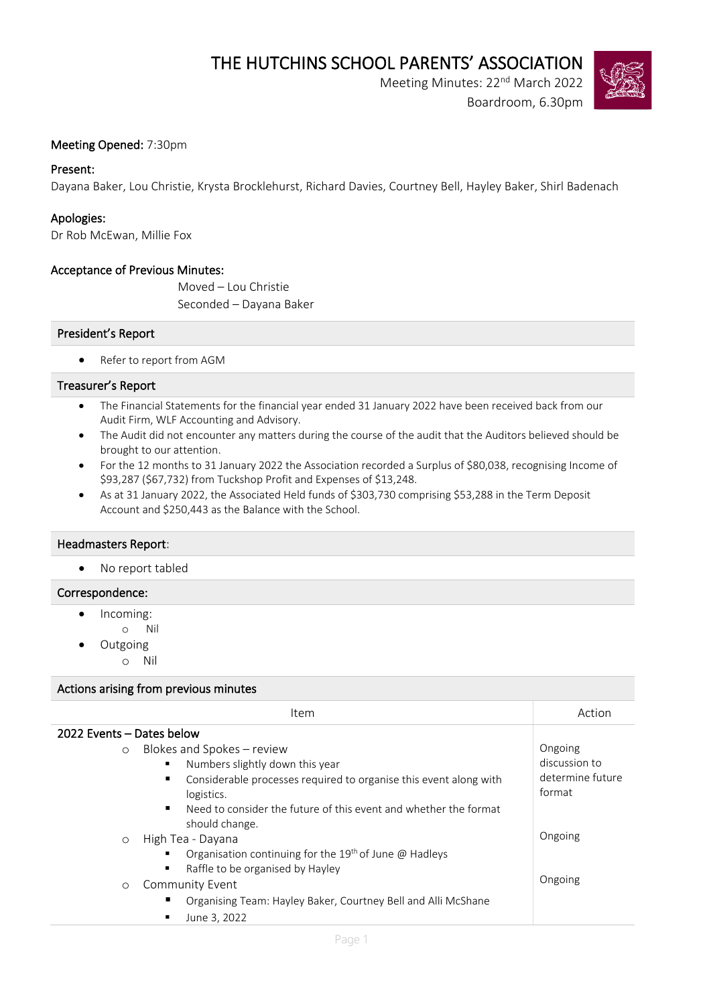THE HUTCHINS SCHOOL PARENTS' ASSOCIATION<br>Meeting Minutes: 22<sup>nd</sup> March 2022

Boardroom, 6.30pm



# Meeting Opened: 7:30pm

# Present:

Dayana Baker, Lou Christie, Krysta Brocklehurst, Richard Davies, Courtney Bell, Hayley Baker, Shirl Badenach

# Apologies:

Dr Rob McEwan, Millie Fox

# Acceptance of Previous Minutes:

Moved – Lou Christie Seconded – Dayana Baker

# President's Report

• Refer to report from AGM

#### Treasurer's Report

- The Financial Statements for the financial year ended 31 January 2022 have been received back from our Audit Firm, WLF Accounting and Advisory.
- The Audit did not encounter any matters during the course of the audit that the Auditors believed should be brought to our attention.
- For the 12 months to 31 January 2022 the Association recorded a Surplus of \$80,038, recognising Income of \$93,287 (\$67,732) from Tuckshop Profit and Expenses of \$13,248.
- As at 31 January 2022, the Associated Held funds of \$303,730 comprising \$53,288 in the Term Deposit Account and \$250,443 as the Balance with the School.

#### Headmasters Report:

• No report tabled

### Correspondence:

- Incoming:
	- o Nil
	- Outgoing
		- o Nil

#### Actions arising from previous minutes

| Item                                                                                                                    | Action                     |
|-------------------------------------------------------------------------------------------------------------------------|----------------------------|
| 2022 Events – Dates below                                                                                               |                            |
| Blokes and Spokes - review<br>$\Omega$                                                                                  | Ongoing                    |
| Numbers slightly down this year<br>٠                                                                                    | discussion to              |
| Considerable processes required to organise this event along with<br>٠<br>logistics.                                    | determine future<br>format |
| Need to consider the future of this event and whether the format<br>٠<br>should change.                                 |                            |
| High Tea - Dayana<br>$\circ$                                                                                            | Ongoing                    |
| Organisation continuing for the 19 <sup>th</sup> of June $\omega$ Hadleys<br>٠<br>Raffle to be organised by Hayley<br>٠ |                            |
| Community Event<br>$\circ$                                                                                              | Ongoing                    |
| Organising Team: Hayley Baker, Courtney Bell and Alli McShane<br>п                                                      |                            |
| June 3, 2022<br>п                                                                                                       |                            |